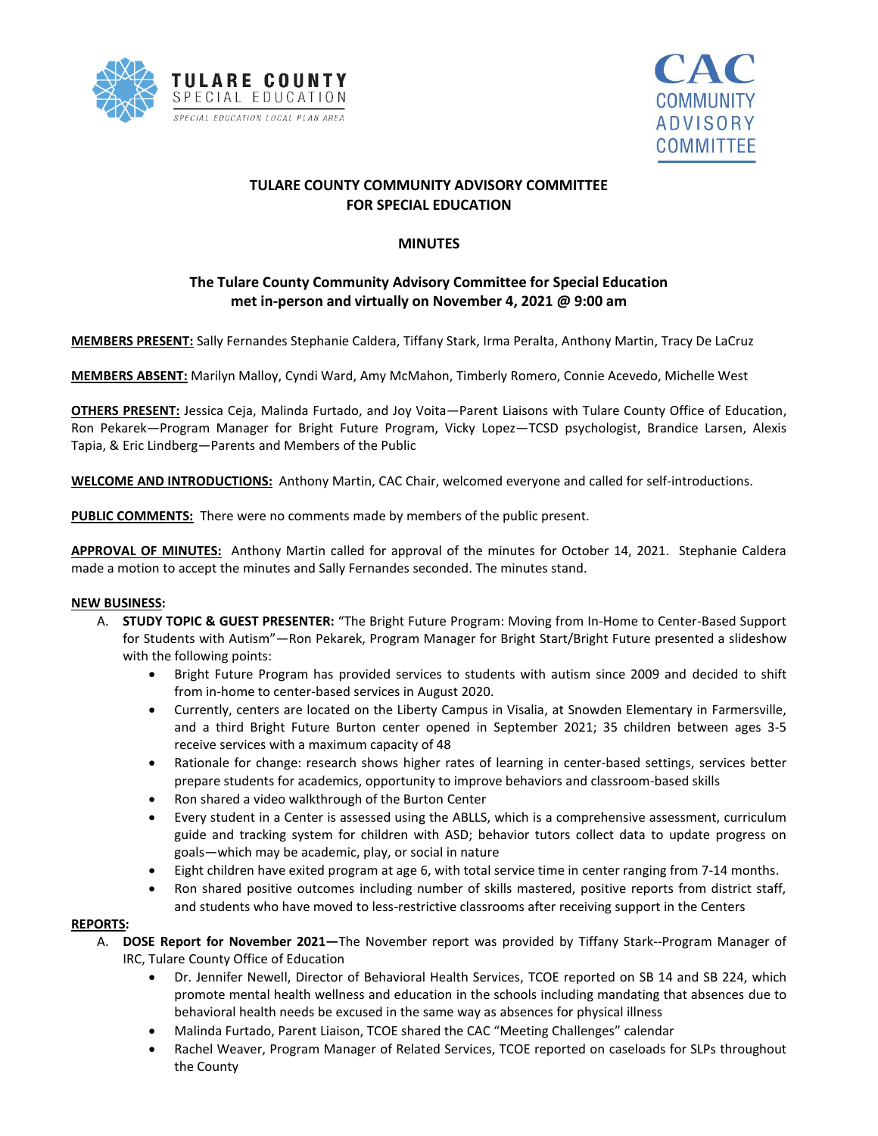



# **TULARE COUNTY COMMUNITY ADVISORY COMMITTEE FOR SPECIAL EDUCATION**

### **MINUTES**

## **The Tulare County Community Advisory Committee for Special Education met in-person and virtually on November 4, 2021 @ 9:00 am**

**MEMBERS PRESENT:** Sally Fernandes Stephanie Caldera, Tiffany Stark, Irma Peralta, Anthony Martin, Tracy De LaCruz

**MEMBERS ABSENT:** Marilyn Malloy, Cyndi Ward, Amy McMahon, Timberly Romero, Connie Acevedo, Michelle West

**OTHERS PRESENT:** Jessica Ceja, Malinda Furtado, and Joy Voita—Parent Liaisons with Tulare County Office of Education, Ron Pekarek—Program Manager for Bright Future Program, Vicky Lopez—TCSD psychologist, Brandice Larsen, Alexis Tapia, & Eric Lindberg—Parents and Members of the Public

**WELCOME AND INTRODUCTIONS:** Anthony Martin, CAC Chair, welcomed everyone and called for self-introductions.

**PUBLIC COMMENTS:** There were no comments made by members of the public present.

**APPROVAL OF MINUTES:** Anthony Martin called for approval of the minutes for October 14, 2021. Stephanie Caldera made a motion to accept the minutes and Sally Fernandes seconded. The minutes stand.

#### **NEW BUSINESS:**

- A. **STUDY TOPIC & GUEST PRESENTER:** "The Bright Future Program: Moving from In-Home to Center-Based Support for Students with Autism"—Ron Pekarek, Program Manager for Bright Start/Bright Future presented a slideshow with the following points:
	- Bright Future Program has provided services to students with autism since 2009 and decided to shift from in-home to center-based services in August 2020.
	- Currently, centers are located on the Liberty Campus in Visalia, at Snowden Elementary in Farmersville, and a third Bright Future Burton center opened in September 2021; 35 children between ages 3-5 receive services with a maximum capacity of 48
	- Rationale for change: research shows higher rates of learning in center-based settings, services better prepare students for academics, opportunity to improve behaviors and classroom-based skills
	- Ron shared a video walkthrough of the Burton Center
	- Every student in a Center is assessed using the ABLLS, which is a comprehensive assessment, curriculum guide and tracking system for children with ASD; behavior tutors collect data to update progress on goals—which may be academic, play, or social in nature
	- Eight children have exited program at age 6, with total service time in center ranging from 7-14 months.
	- Ron shared positive outcomes including number of skills mastered, positive reports from district staff, and students who have moved to less-restrictive classrooms after receiving support in the Centers

#### **REPORTS:**

- A. **DOSE Report for November 2021—**The November report was provided by Tiffany Stark--Program Manager of IRC, Tulare County Office of Education
	- Dr. Jennifer Newell, Director of Behavioral Health Services, TCOE reported on SB 14 and SB 224, which promote mental health wellness and education in the schools including mandating that absences due to behavioral health needs be excused in the same way as absences for physical illness
	- Malinda Furtado, Parent Liaison, TCOE shared the CAC "Meeting Challenges" calendar
	- Rachel Weaver, Program Manager of Related Services, TCOE reported on caseloads for SLPs throughout the County